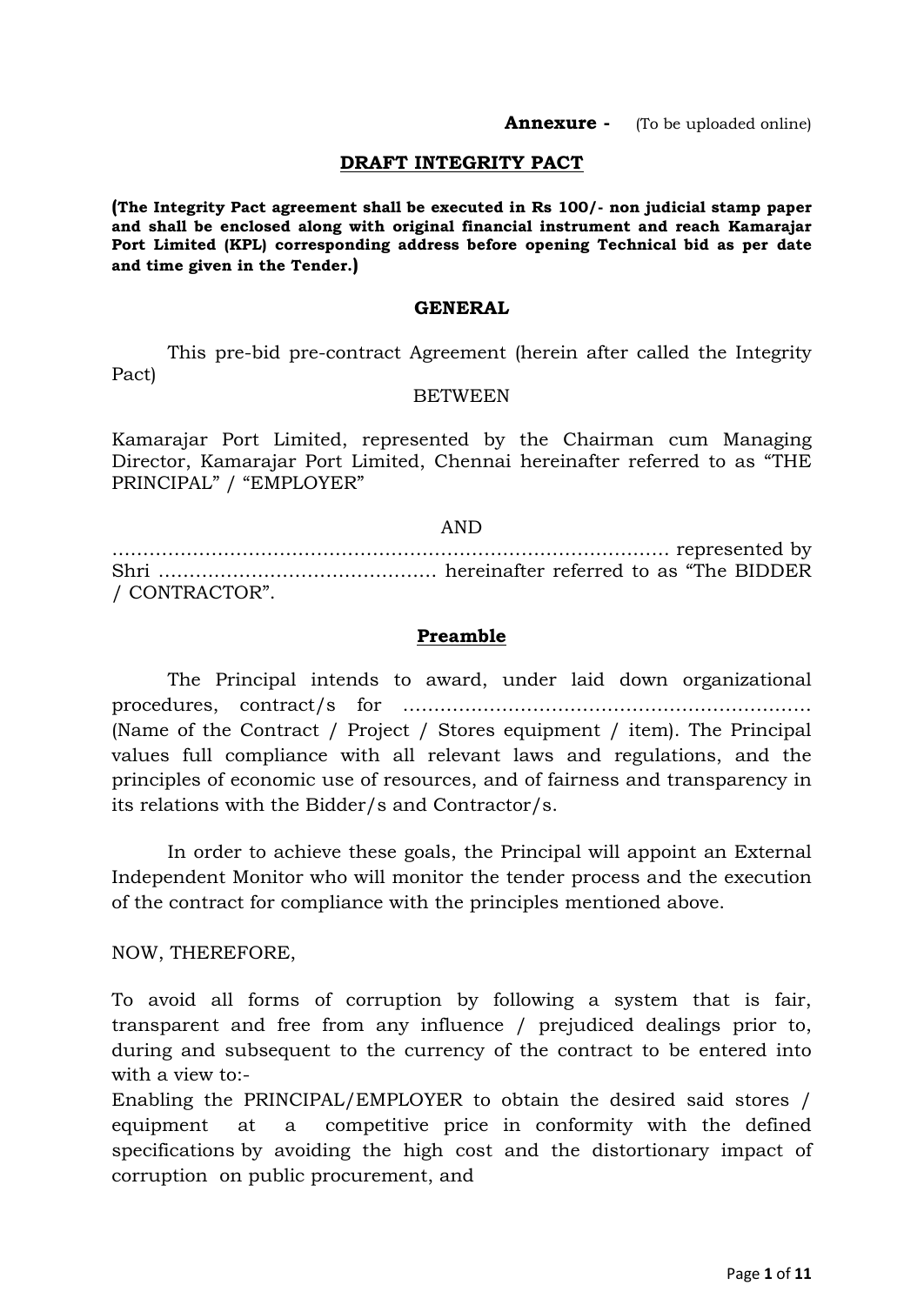#### **DRAFT INTEGRITY PACT**

**(The Integrity Pact agreement shall be executed in Rs 100/- non judicial stamp paper and shall be enclosed along with original financial instrument and reach Kamarajar Port Limited (KPL) corresponding address before opening Technical bid as per date and time given in the Tender.)** 

#### **GENERAL**

This pre-bid pre-contract Agreement (herein after called the Integrity Pact)

#### BETWEEN

Kamarajar Port Limited, represented by the Chairman cum Managing Director, Kamarajar Port Limited, Chennai hereinafter referred to as "THE PRINCIPAL" / "EMPLOYER"

#### AND

……………………………………………………………………………… represented by Shri ……………………………………… hereinafter referred to as "The BIDDER / CONTRACTOR".

#### **Preamble**

The Principal intends to award, under laid down organizational procedures, contract/s for ………………………………………………………… (Name of the Contract / Project / Stores equipment / item). The Principal values full compliance with all relevant laws and regulations, and the principles of economic use of resources, and of fairness and transparency in its relations with the Bidder/s and Contractor/s.

In order to achieve these goals, the Principal will appoint an External Independent Monitor who will monitor the tender process and the execution of the contract for compliance with the principles mentioned above.

NOW, THEREFORE,

To avoid all forms of corruption by following a system that is fair, transparent and free from any influence / prejudiced dealings prior to, during and subsequent to the currency of the contract to be entered into with a view to:-

Enabling the PRINCIPAL/EMPLOYER to obtain the desired said stores / equipment at a competitive price in conformity with the defined specifications by avoiding the high cost and the distortionary impact of corruption on public procurement, and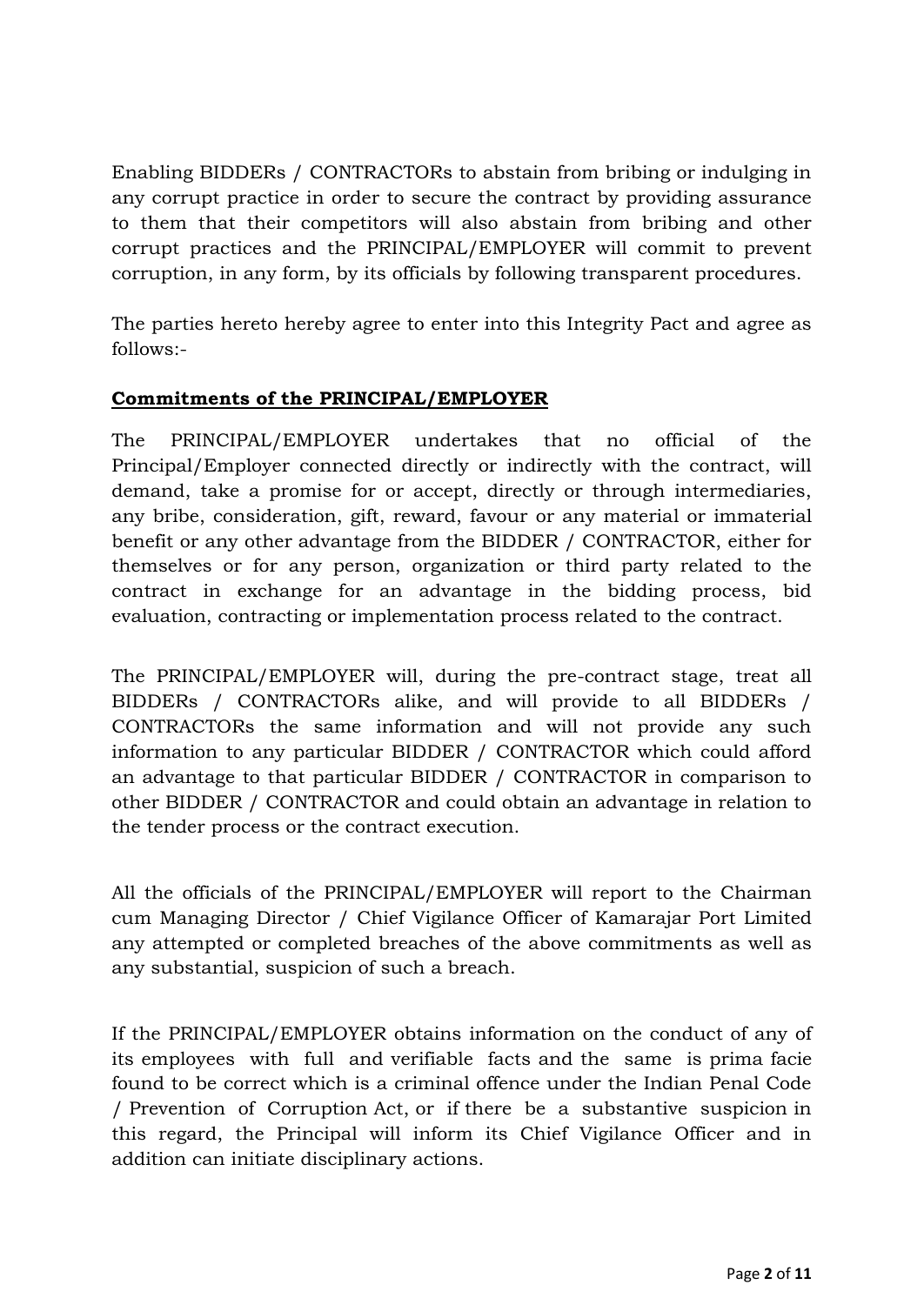Enabling BIDDERs / CONTRACTORs to abstain from bribing or indulging in any corrupt practice in order to secure the contract by providing assurance to them that their competitors will also abstain from bribing and other corrupt practices and the PRINCIPAL/EMPLOYER will commit to prevent corruption, in any form, by its officials by following transparent procedures.

The parties hereto hereby agree to enter into this Integrity Pact and agree as follows:-

# **Commitments of the PRINCIPAL/EMPLOYER**

The PRINCIPAL/EMPLOYER undertakes that no official of the Principal/Employer connected directly or indirectly with the contract, will demand, take a promise for or accept, directly or through intermediaries, any bribe, consideration, gift, reward, favour or any material or immaterial benefit or any other advantage from the BIDDER / CONTRACTOR, either for themselves or for any person, organization or third party related to the contract in exchange for an advantage in the bidding process, bid evaluation, contracting or implementation process related to the contract.

The PRINCIPAL/EMPLOYER will, during the pre-contract stage, treat all BIDDERs / CONTRACTORs alike, and will provide to all BIDDERs / CONTRACTORs the same information and will not provide any such information to any particular BIDDER / CONTRACTOR which could afford an advantage to that particular BIDDER / CONTRACTOR in comparison to other BIDDER / CONTRACTOR and could obtain an advantage in relation to the tender process or the contract execution.

All the officials of the PRINCIPAL/EMPLOYER will report to the Chairman cum Managing Director / Chief Vigilance Officer of Kamarajar Port Limited any attempted or completed breaches of the above commitments as well as any substantial, suspicion of such a breach.

If the PRINCIPAL/EMPLOYER obtains information on the conduct of any of its employees with full and verifiable facts and the same is prima facie found to be correct which is a criminal offence under the Indian Penal Code / Prevention of Corruption Act, or if there be a substantive suspicion in this regard, the Principal will inform its Chief Vigilance Officer and in addition can initiate disciplinary actions.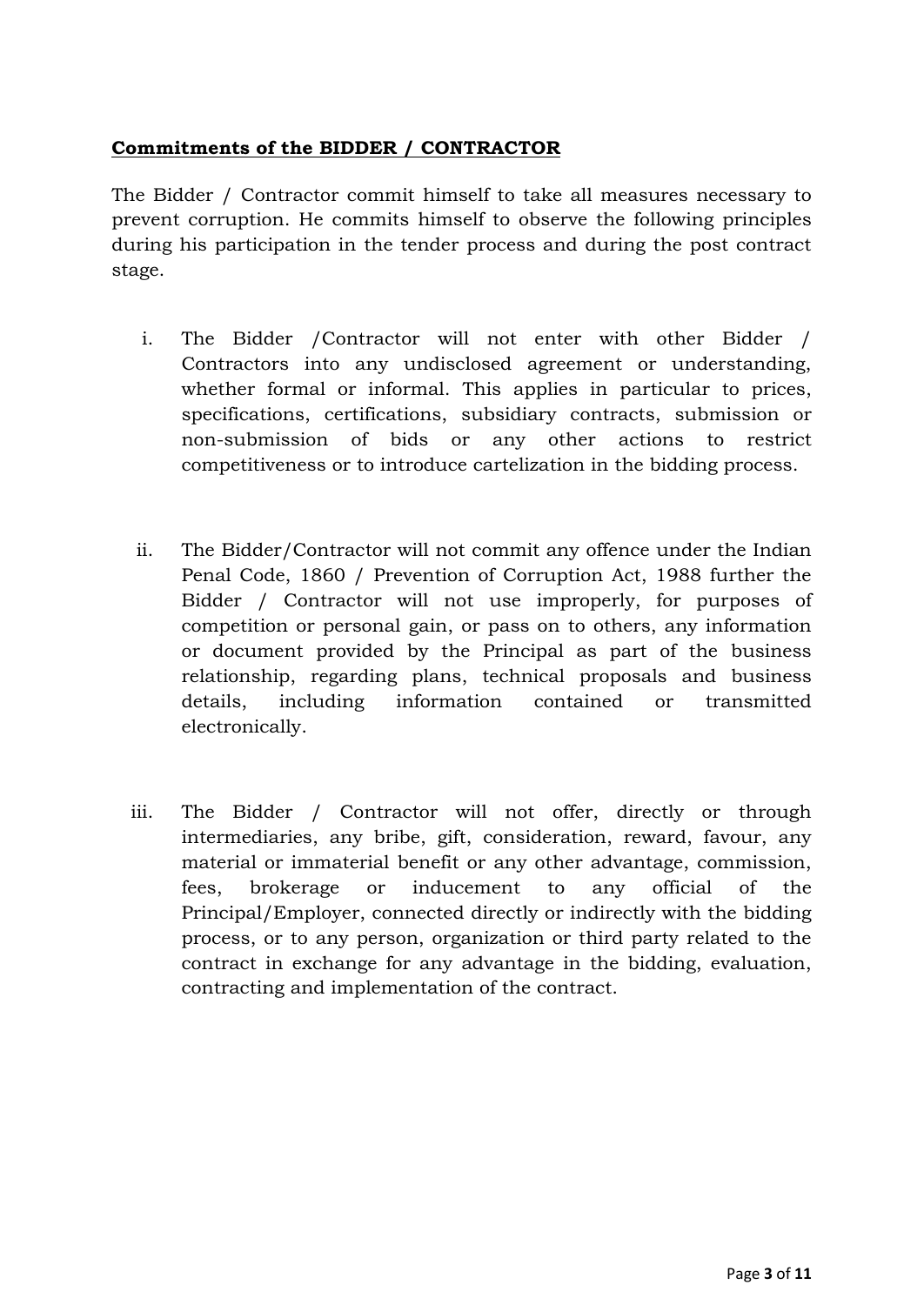### **Commitments of the BIDDER / CONTRACTOR**

The Bidder / Contractor commit himself to take all measures necessary to prevent corruption. He commits himself to observe the following principles during his participation in the tender process and during the post contract stage.

- i. The Bidder /Contractor will not enter with other Bidder / Contractors into any undisclosed agreement or understanding, whether formal or informal. This applies in particular to prices, specifications, certifications, subsidiary contracts, submission or non-submission of bids or any other actions to restrict competitiveness or to introduce cartelization in the bidding process.
- ii. The Bidder/Contractor will not commit any offence under the Indian Penal Code, 1860 / Prevention of Corruption Act, 1988 further the Bidder / Contractor will not use improperly, for purposes of competition or personal gain, or pass on to others, any information or document provided by the Principal as part of the business relationship, regarding plans, technical proposals and business details, including information contained or transmitted electronically.
- iii. The Bidder / Contractor will not offer, directly or through intermediaries, any bribe, gift, consideration, reward, favour, any material or immaterial benefit or any other advantage, commission, fees, brokerage or inducement to any official of the Principal/Employer, connected directly or indirectly with the bidding process, or to any person, organization or third party related to the contract in exchange for any advantage in the bidding, evaluation, contracting and implementation of the contract.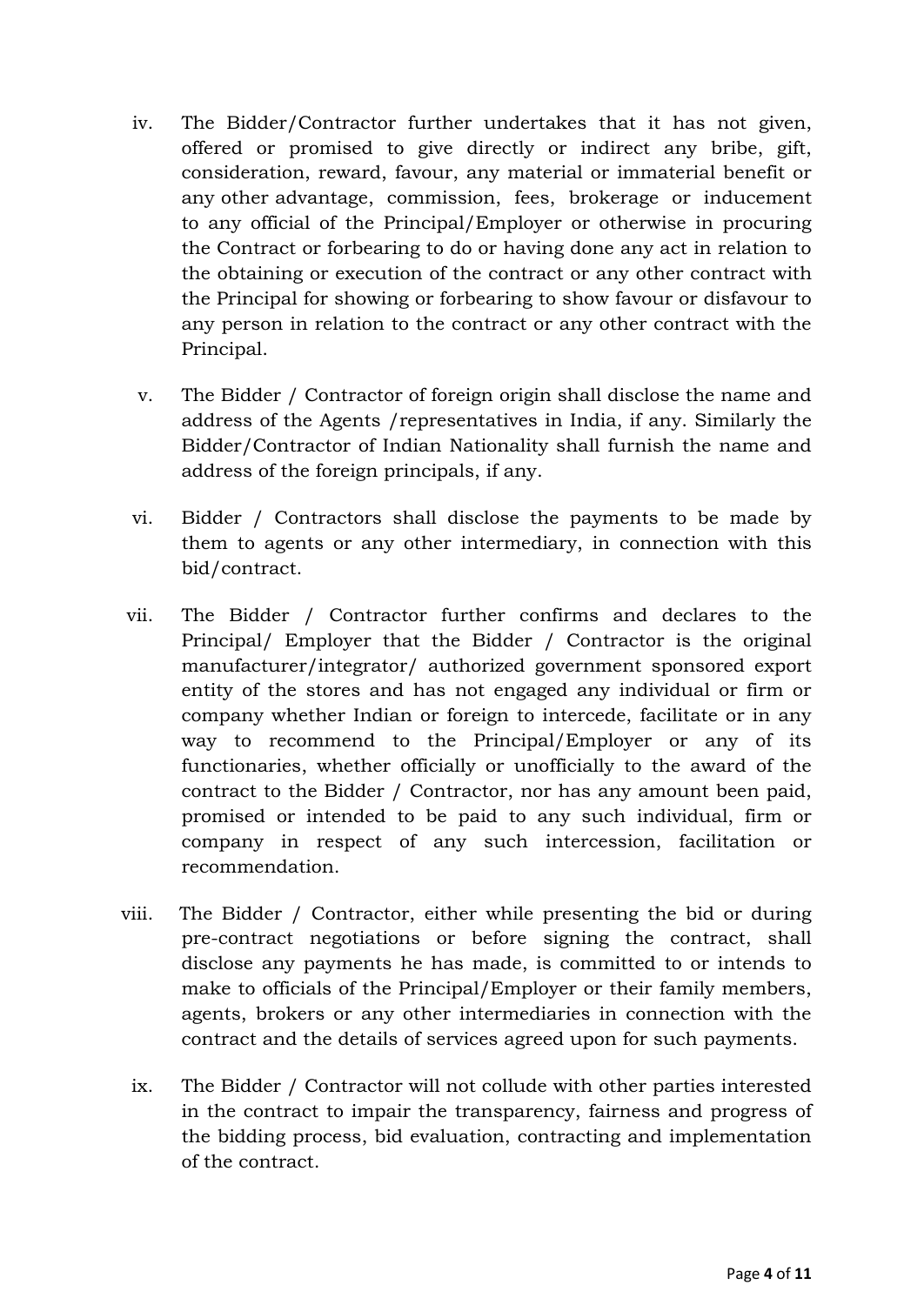- iv. The Bidder/Contractor further undertakes that it has not given, offered or promised to give directly or indirect any bribe, gift, consideration, reward, favour, any material or immaterial benefit or any other advantage, commission, fees, brokerage or inducement to any official of the Principal/Employer or otherwise in procuring the Contract or forbearing to do or having done any act in relation to the obtaining or execution of the contract or any other contract with the Principal for showing or forbearing to show favour or disfavour to any person in relation to the contract or any other contract with the Principal.
- v. The Bidder / Contractor of foreign origin shall disclose the name and address of the Agents /representatives in India, if any. Similarly the Bidder/Contractor of Indian Nationality shall furnish the name and address of the foreign principals, if any.
- vi. Bidder / Contractors shall disclose the payments to be made by them to agents or any other intermediary, in connection with this bid/contract.
- vii. The Bidder / Contractor further confirms and declares to the Principal/ Employer that the Bidder / Contractor is the original manufacturer/integrator/ authorized government sponsored export entity of the stores and has not engaged any individual or firm or company whether Indian or foreign to intercede, facilitate or in any way to recommend to the Principal/Employer or any of its functionaries, whether officially or unofficially to the award of the contract to the Bidder / Contractor, nor has any amount been paid, promised or intended to be paid to any such individual, firm or company in respect of any such intercession, facilitation or recommendation.
- viii. The Bidder / Contractor, either while presenting the bid or during pre-contract negotiations or before signing the contract, shall disclose any payments he has made, is committed to or intends to make to officials of the Principal/Employer or their family members, agents, brokers or any other intermediaries in connection with the contract and the details of services agreed upon for such payments.
	- ix. The Bidder / Contractor will not collude with other parties interested in the contract to impair the transparency, fairness and progress of the bidding process, bid evaluation, contracting and implementation of the contract.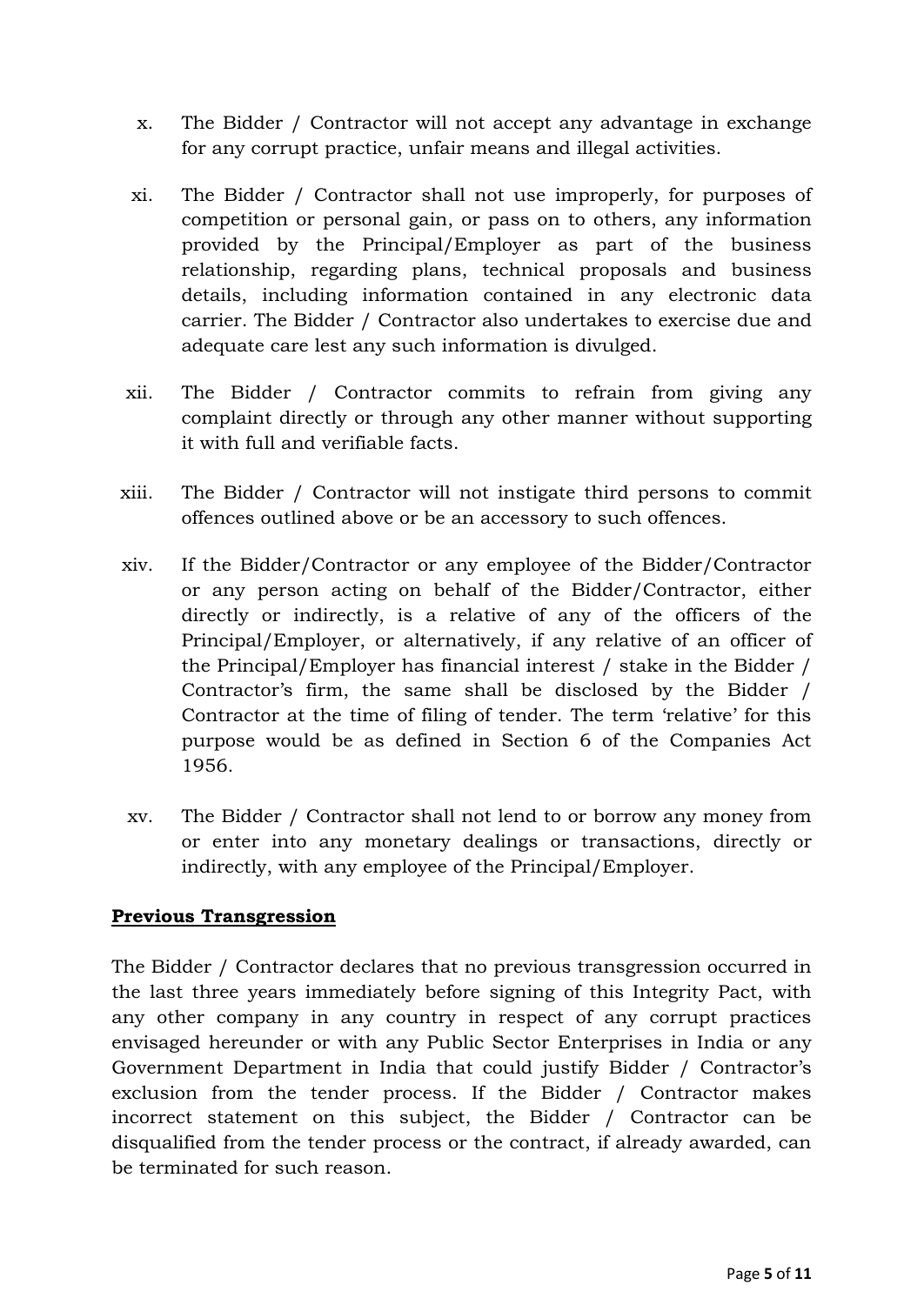- x. The Bidder / Contractor will not accept any advantage in exchange for any corrupt practice, unfair means and illegal activities.
- xi. The Bidder / Contractor shall not use improperly, for purposes of competition or personal gain, or pass on to others, any information provided by the Principal/Employer as part of the business relationship, regarding plans, technical proposals and business details, including information contained in any electronic data carrier. The Bidder / Contractor also undertakes to exercise due and adequate care lest any such information is divulged.
- xii. The Bidder / Contractor commits to refrain from giving any complaint directly or through any other manner without supporting it with full and verifiable facts.
- xiii. The Bidder / Contractor will not instigate third persons to commit offences outlined above or be an accessory to such offences.
- xiv. If the Bidder/Contractor or any employee of the Bidder/Contractor or any person acting on behalf of the Bidder/Contractor, either directly or indirectly, is a relative of any of the officers of the Principal/Employer, or alternatively, if any relative of an officer of the Principal/Employer has financial interest / stake in the Bidder / Contractor's firm, the same shall be disclosed by the Bidder / Contractor at the time of filing of tender. The term "relative" for this purpose would be as defined in Section 6 of the Companies Act 1956.
- xv. The Bidder / Contractor shall not lend to or borrow any money from or enter into any monetary dealings or transactions, directly or indirectly, with any employee of the Principal/Employer.

## **Previous Transgression**

The Bidder / Contractor declares that no previous transgression occurred in the last three years immediately before signing of this Integrity Pact, with any other company in any country in respect of any corrupt practices envisaged hereunder or with any Public Sector Enterprises in India or any Government Department in India that could justify Bidder / Contractor's exclusion from the tender process. If the Bidder / Contractor makes incorrect statement on this subject, the Bidder / Contractor can be disqualified from the tender process or the contract, if already awarded, can be terminated for such reason.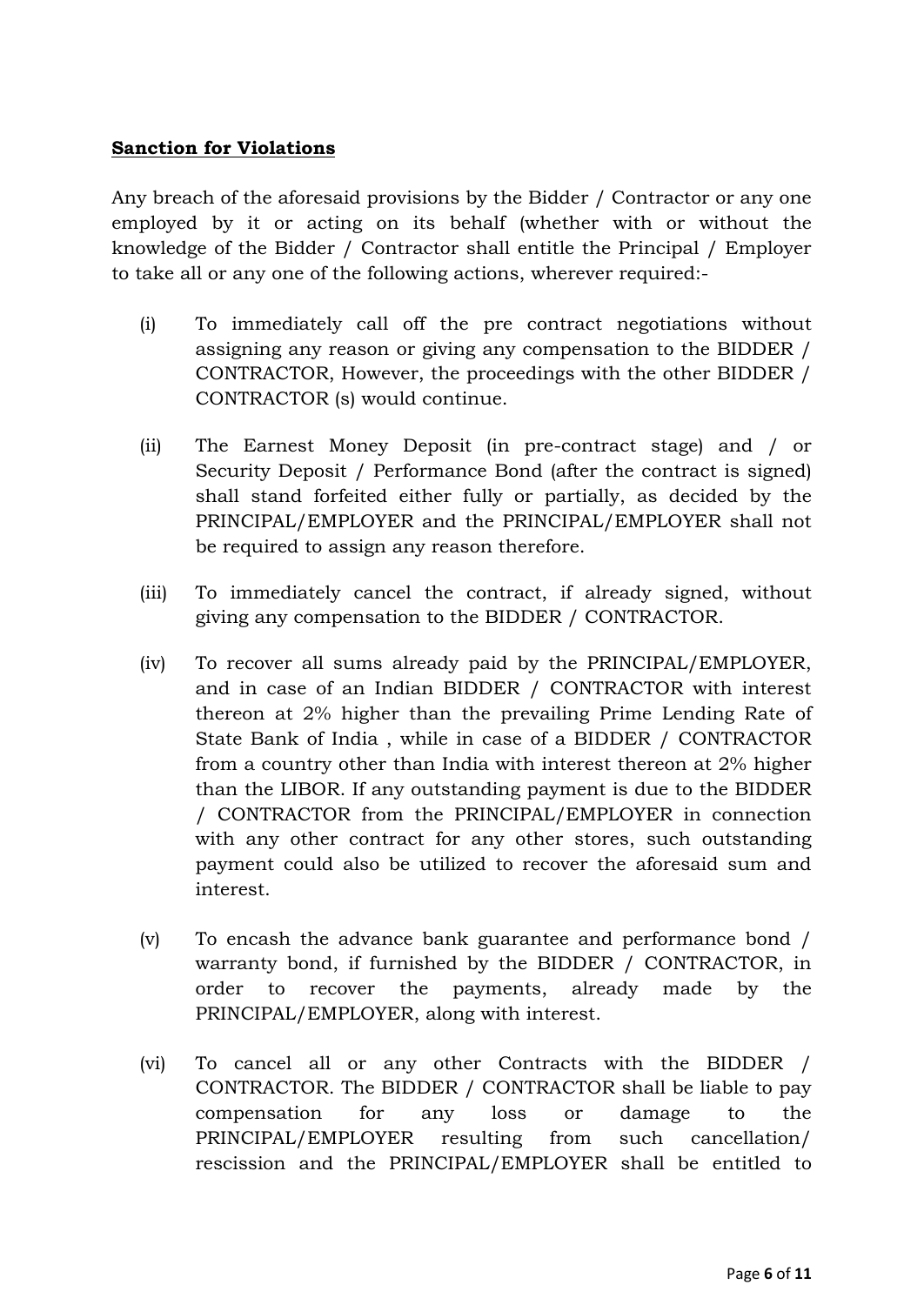### **Sanction for Violations**

Any breach of the aforesaid provisions by the Bidder / Contractor or any one employed by it or acting on its behalf (whether with or without the knowledge of the Bidder / Contractor shall entitle the Principal / Employer to take all or any one of the following actions, wherever required:-

- (i) To immediately call off the pre contract negotiations without assigning any reason or giving any compensation to the BIDDER / CONTRACTOR, However, the proceedings with the other BIDDER / CONTRACTOR (s) would continue.
- (ii) The Earnest Money Deposit (in pre-contract stage) and / or Security Deposit / Performance Bond (after the contract is signed) shall stand forfeited either fully or partially, as decided by the PRINCIPAL/EMPLOYER and the PRINCIPAL/EMPLOYER shall not be required to assign any reason therefore.
- (iii) To immediately cancel the contract, if already signed, without giving any compensation to the BIDDER / CONTRACTOR.
- (iv) To recover all sums already paid by the PRINCIPAL/EMPLOYER, and in case of an Indian BIDDER / CONTRACTOR with interest thereon at 2% higher than the prevailing Prime Lending Rate of State Bank of India , while in case of a BIDDER / CONTRACTOR from a country other than India with interest thereon at 2% higher than the LIBOR. If any outstanding payment is due to the BIDDER / CONTRACTOR from the PRINCIPAL/EMPLOYER in connection with any other contract for any other stores, such outstanding payment could also be utilized to recover the aforesaid sum and interest.
- (v) To encash the advance bank guarantee and performance bond / warranty bond, if furnished by the BIDDER / CONTRACTOR, in order to recover the payments, already made by the PRINCIPAL/EMPLOYER, along with interest.
- (vi) To cancel all or any other Contracts with the BIDDER / CONTRACTOR. The BIDDER / CONTRACTOR shall be liable to pay compensation for any loss or damage to the PRINCIPAL/EMPLOYER resulting from such cancellation/ rescission and the PRINCIPAL/EMPLOYER shall be entitled to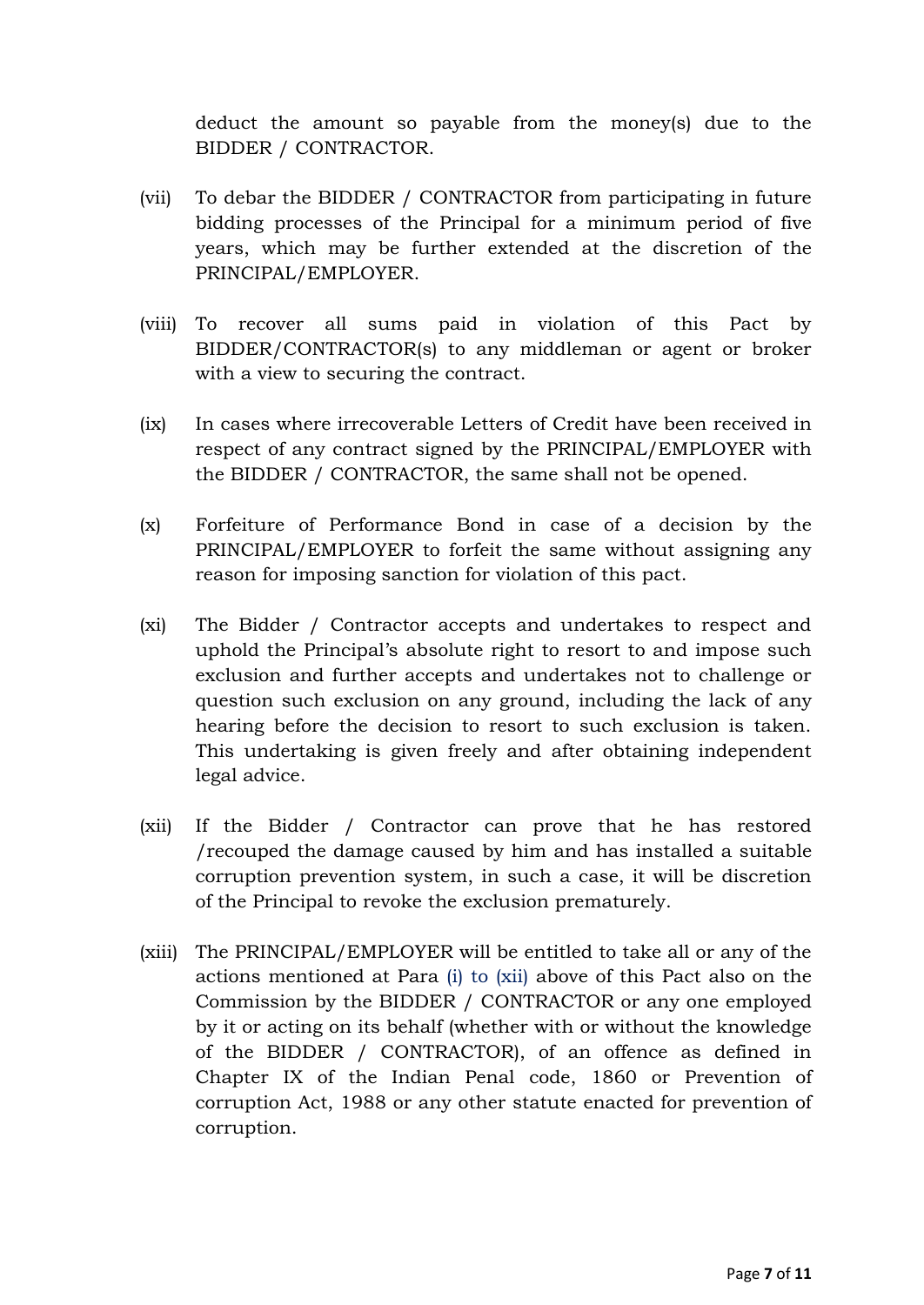deduct the amount so payable from the money(s) due to the BIDDER / CONTRACTOR.

- (vii) To debar the BIDDER / CONTRACTOR from participating in future bidding processes of the Principal for a minimum period of five years, which may be further extended at the discretion of the PRINCIPAL/EMPLOYER.
- (viii) To recover all sums paid in violation of this Pact by BIDDER/CONTRACTOR(s) to any middleman or agent or broker with a view to securing the contract.
- (ix) In cases where irrecoverable Letters of Credit have been received in respect of any contract signed by the PRINCIPAL/EMPLOYER with the BIDDER / CONTRACTOR, the same shall not be opened.
- (x) Forfeiture of Performance Bond in case of a decision by the PRINCIPAL/EMPLOYER to forfeit the same without assigning any reason for imposing sanction for violation of this pact.
- (xi) The Bidder / Contractor accepts and undertakes to respect and uphold the Principal"s absolute right to resort to and impose such exclusion and further accepts and undertakes not to challenge or question such exclusion on any ground, including the lack of any hearing before the decision to resort to such exclusion is taken. This undertaking is given freely and after obtaining independent legal advice.
- (xii) If the Bidder / Contractor can prove that he has restored /recouped the damage caused by him and has installed a suitable corruption prevention system, in such a case, it will be discretion of the Principal to revoke the exclusion prematurely.
- (xiii) The PRINCIPAL/EMPLOYER will be entitled to take all or any of the actions mentioned at Para (i) to (xii) above of this Pact also on the Commission by the BIDDER / CONTRACTOR or any one employed by it or acting on its behalf (whether with or without the knowledge of the BIDDER / CONTRACTOR), of an offence as defined in Chapter IX of the Indian Penal code, 1860 or Prevention of corruption Act, 1988 or any other statute enacted for prevention of corruption.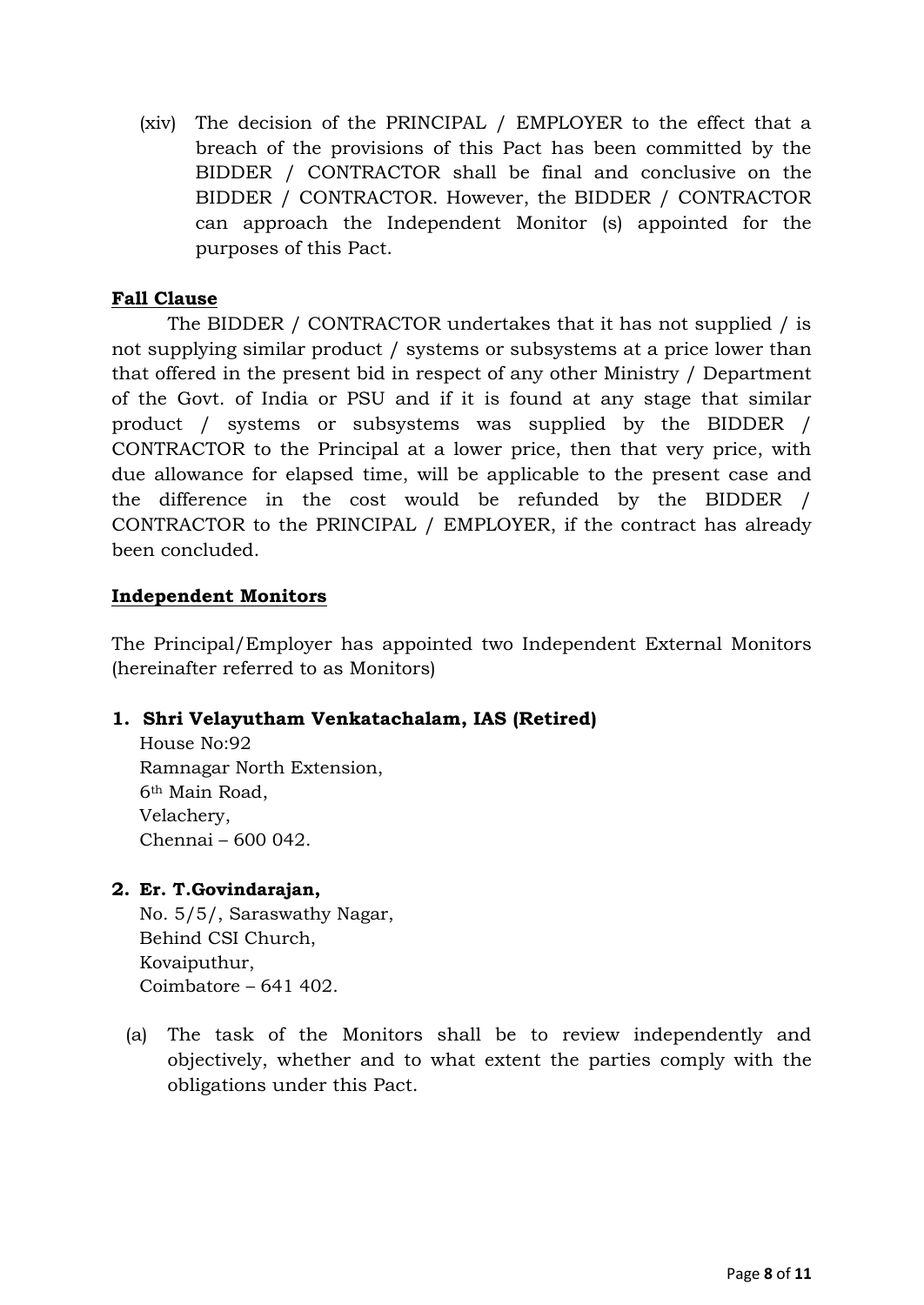(xiv) The decision of the PRINCIPAL / EMPLOYER to the effect that a breach of the provisions of this Pact has been committed by the BIDDER / CONTRACTOR shall be final and conclusive on the BIDDER / CONTRACTOR. However, the BIDDER / CONTRACTOR can approach the Independent Monitor (s) appointed for the purposes of this Pact.

## **Fall Clause**

The BIDDER / CONTRACTOR undertakes that it has not supplied / is not supplying similar product / systems or subsystems at a price lower than that offered in the present bid in respect of any other Ministry / Department of the Govt. of India or PSU and if it is found at any stage that similar product / systems or subsystems was supplied by the BIDDER / CONTRACTOR to the Principal at a lower price, then that very price, with due allowance for elapsed time, will be applicable to the present case and the difference in the cost would be refunded by the BIDDER / CONTRACTOR to the PRINCIPAL / EMPLOYER, if the contract has already been concluded.

### **Independent Monitors**

The Principal/Employer has appointed two Independent External Monitors (hereinafter referred to as Monitors)

## **1. Shri Velayutham Venkatachalam, IAS (Retired)**

House No:92 Ramnagar North Extension, 6th Main Road, Velachery, Chennai – 600 042.

#### **2. Er. T.Govindarajan,**

No. 5/5/, Saraswathy Nagar, Behind CSI Church, Kovaiputhur, Coimbatore – 641 402.

(a) The task of the Monitors shall be to review independently and objectively, whether and to what extent the parties comply with the obligations under this Pact.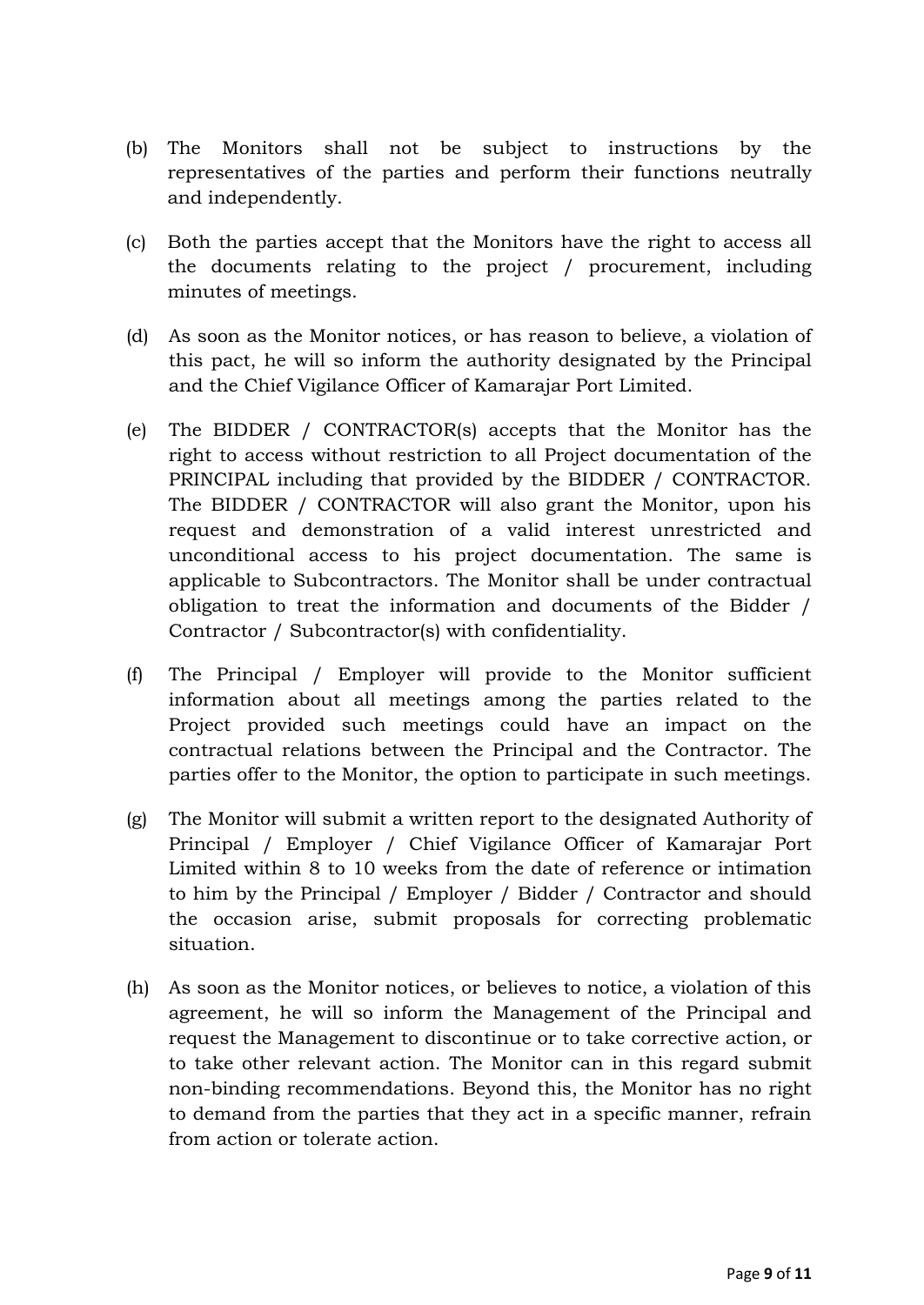- (b) The Monitors shall not be subject to instructions by the representatives of the parties and perform their functions neutrally and independently.
- (c) Both the parties accept that the Monitors have the right to access all the documents relating to the project / procurement, including minutes of meetings.
- (d) As soon as the Monitor notices, or has reason to believe, a violation of this pact, he will so inform the authority designated by the Principal and the Chief Vigilance Officer of Kamarajar Port Limited.
- (e) The BIDDER / CONTRACTOR(s) accepts that the Monitor has the right to access without restriction to all Project documentation of the PRINCIPAL including that provided by the BIDDER / CONTRACTOR. The BIDDER / CONTRACTOR will also grant the Monitor, upon his request and demonstration of a valid interest unrestricted and unconditional access to his project documentation. The same is applicable to Subcontractors. The Monitor shall be under contractual obligation to treat the information and documents of the Bidder / Contractor / Subcontractor(s) with confidentiality.
- (f) The Principal / Employer will provide to the Monitor sufficient information about all meetings among the parties related to the Project provided such meetings could have an impact on the contractual relations between the Principal and the Contractor. The parties offer to the Monitor, the option to participate in such meetings.
- (g) The Monitor will submit a written report to the designated Authority of Principal / Employer / Chief Vigilance Officer of Kamarajar Port Limited within 8 to 10 weeks from the date of reference or intimation to him by the Principal / Employer / Bidder / Contractor and should the occasion arise, submit proposals for correcting problematic situation.
- (h) As soon as the Monitor notices, or believes to notice, a violation of this agreement, he will so inform the Management of the Principal and request the Management to discontinue or to take corrective action, or to take other relevant action. The Monitor can in this regard submit non-binding recommendations. Beyond this, the Monitor has no right to demand from the parties that they act in a specific manner, refrain from action or tolerate action.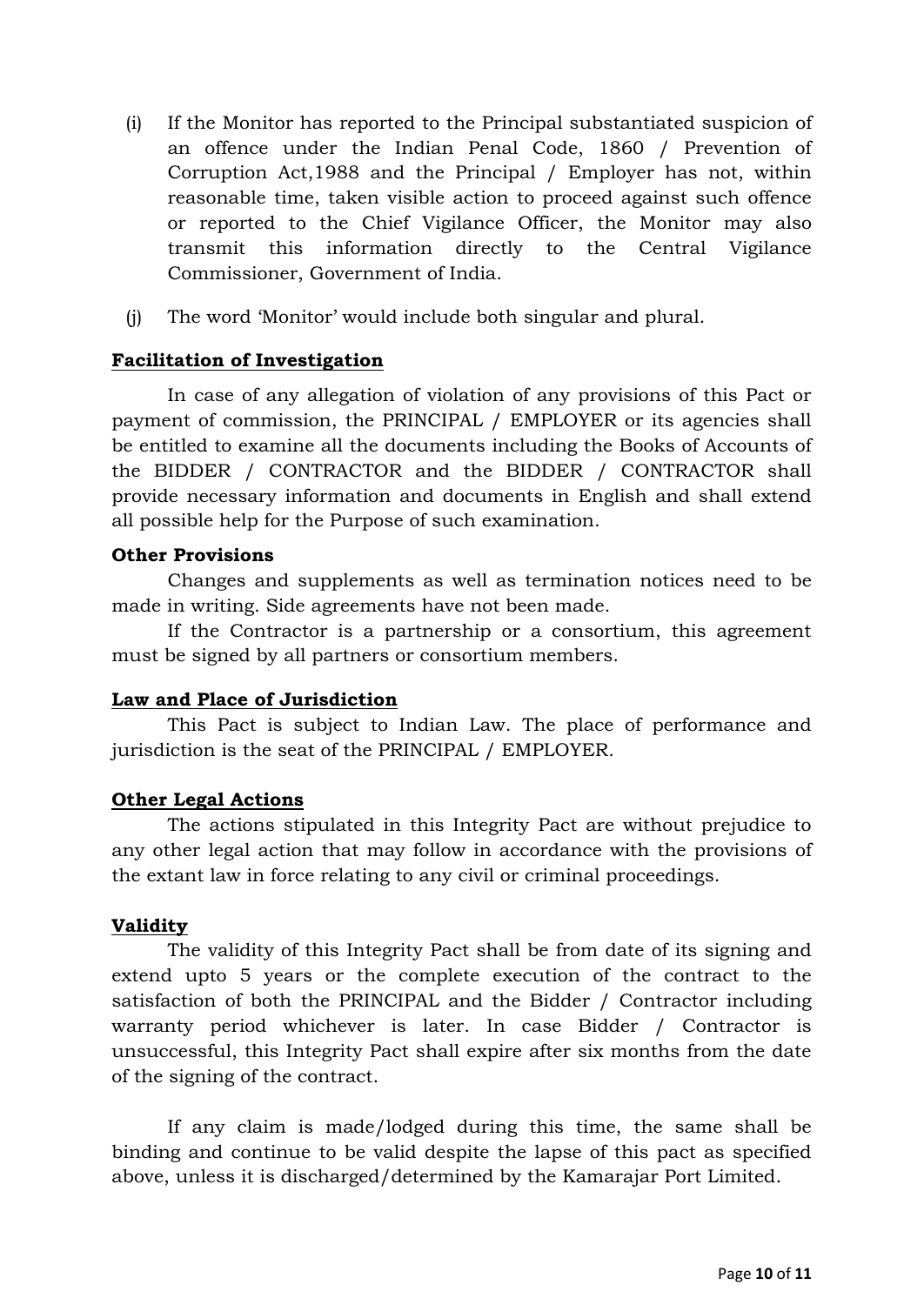- (i) If the Monitor has reported to the Principal substantiated suspicion of an offence under the Indian Penal Code, 1860 / Prevention of Corruption Act,1988 and the Principal / Employer has not, within reasonable time, taken visible action to proceed against such offence or reported to the Chief Vigilance Officer, the Monitor may also transmit this information directly to the Central Vigilance Commissioner, Government of India.
- (j) The word "Monitor" would include both singular and plural.

### **Facilitation of Investigation**

In case of any allegation of violation of any provisions of this Pact or payment of commission, the PRINCIPAL / EMPLOYER or its agencies shall be entitled to examine all the documents including the Books of Accounts of the BIDDER / CONTRACTOR and the BIDDER / CONTRACTOR shall provide necessary information and documents in English and shall extend all possible help for the Purpose of such examination.

#### **Other Provisions**

Changes and supplements as well as termination notices need to be made in writing. Side agreements have not been made.

If the Contractor is a partnership or a consortium, this agreement must be signed by all partners or consortium members.

#### **Law and Place of Jurisdiction**

This Pact is subject to Indian Law. The place of performance and jurisdiction is the seat of the PRINCIPAL / EMPLOYER.

#### **Other Legal Actions**

The actions stipulated in this Integrity Pact are without prejudice to any other legal action that may follow in accordance with the provisions of the extant law in force relating to any civil or criminal proceedings.

#### **Validity**

The validity of this Integrity Pact shall be from date of its signing and extend upto 5 years or the complete execution of the contract to the satisfaction of both the PRINCIPAL and the Bidder / Contractor including warranty period whichever is later. In case Bidder / Contractor is unsuccessful, this Integrity Pact shall expire after six months from the date of the signing of the contract.

If any claim is made/lodged during this time, the same shall be binding and continue to be valid despite the lapse of this pact as specified above, unless it is discharged/determined by the Kamarajar Port Limited.